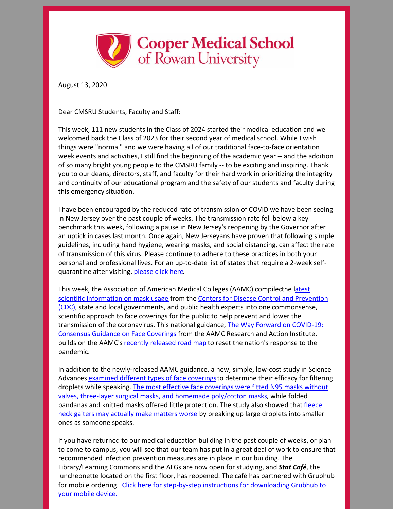

August 13, 2020

Dear CMSRU Students, Faculty and Staff:

This week, 111 new students in the Class of 2024 started their medical education and we welcomed back the Class of 2023 for their second year of medical school. While I wish things were "normal" and we were having all of our traditional face-to-face orientation week events and activities, I still find the beginning of the academic year -- and the addition of so many bright young people to the CMSRU family -- to be exciting and inspiring. Thank you to our deans, directors, staff, and faculty for their hard work in prioritizing the integrity and continuity of our educational program and the safety of our students and faculty during this emergency situation.

I have been encouraged by the reduced rate of transmission of COVID we have been seeing in New Jersey over the past couple of weeks. The transmission rate fell below a key benchmark this week, following a pause in New Jersey's reopening by the Governor after an uptick in cases last month. Once again, New Jerseyans have proven that following simple guidelines, including hand hygiene, wearing masks, and social distancing, can affect the rate of transmission of this virus. Please continue to adhere to these practices in both your personal and professional lives. For an up-to-date list of states that require a 2-week selfquarantine after visiting, [please](https://covid19.nj.gov/faqs/nj-information/travel-and-transportation/which-states-are-on-the-travel-advisory-list-are-there-travel-restrictions-to-or-from-new-jersey) click here.

This week, the Association of American Medical Colleges (AAMC) compiled the latest scientific information on mask usage from the Centers for Disease Control and Prevention (CDC), state and local governments, and public health experts into one [commonsense,](https://www.cdc.gov/coronavirus/2019-ncov/prevent-getting-sick/about-face-coverings.html?utm_source=sfmc&utm_medium=email&utm_campaign=covidexternal&utm_content=newsletter) scientific approach to face coverings for the public to help prevent and lower the [transmission](https://www.aamc.org/covidroadmap/masks?utm_source=sfmc&utm_medium=email&utm_campaign=covidexternal&utm_content=newsletter) of the coronavirus. This national guidance, The Way Forward on COVID-19: Consensus Guidance on Face Coverings from the AAMC Research and Action Institute, builds on the AAMC's recently [released](https://www.aamc.org/covidroadmap/roadmap?utm_source=sfmc&utm_medium=email&utm_campaign=covidexternal&utm_content=newsletter) road map to reset the nation's response to the pandemic.

In addition to the newly-released AAMC guidance, a new, simple, low-cost study in Science Advances [examined](https://advances.sciencemag.org/content/early/2020/08/07/sciadv.abd3083?utm_source=sfmc&utm_medium=email&utm_campaign=covidexternal&utm_content=newsletter) different types of face coverings to determine their efficacy for filtering droplets while speaking. The most effective face coverings were fitted N95 masks without valves, three-layer surgical masks, and homemade [poly/cotton](https://www.sfchronicle.com/bayarea/article/Does-your-coronavirus-mask-work-New-study-15473251.php?utm_source=sfmc&utm_medium=email&utm_campaign=covidexternal&utm_content=newsletter) masks, while folded bandanas and knitted masks offered little [protection.](https://www.washingtonpost.com/lifestyle/wellness/mask-test-duke-covid/2020/08/10/4f2bb888-db18-11ea-b205-ff838e15a9a6_story.html?utm_source=sfmc&utm_medium=email&utm_campaign=covidexternal&utm_content=newsletter) The study also showed that fleece neck gaiters may actually make matters worse by breaking up large droplets into smaller ones as someone speaks.

If you have returned to our medical education building in the past couple of weeks, or plan to come to campus, you will see that our team has put in a great deal of work to ensure that recommended infection prevention measures are in place in our building. The Library/Learning Commons and the ALGs are now open for studying, and *Stat Café*, the luncheonette located on the first floor, has reopened. The café has partnered with Grubhub for mobile ordering. Click here for step-by-step instructions for [downloading](https://files.constantcontact.com/a75e3261201/040c4392-0881-40d6-9baa-c66ce2efc7e0.pdf) Grubhub to your mobile device.